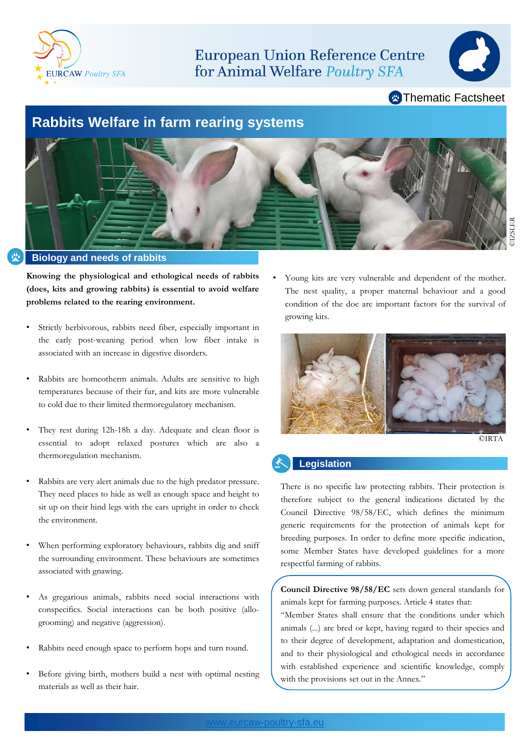

**European Union Reference Centre** for Animal Welfare Poultry SFA



**Example Thematic Factsheet** 

## **Rabbits Welfare in farm rearing systems**



**Knowing the physiological and ethological needs of rabbits**

- **(does, kits and growing rabbits) is essential to avoid welfare problems related to the rearing environment.**
- Strictly herbivorous, rabbits need fiber, especially important in the early post-weaning period when low fiber intake is associated with an increase in digestive disorders.
- Rabbits are homeotherm animals. Adults are sensitive to high temperatures because of their fur, and kits are more vulnerable to cold due to their limited thermoregulatory mechanism.
- They rest during 12h-18h a day. Adequate and clean floor is essential to adopt relaxed postures which are also a thermoregulation mechanism.
- Rabbits are very alert animals due to the high predator pressure. They need places to hide as well as enough space and height to sit up on their hind legs with the ears upright in order to check the environment.
- When performing exploratory behaviours, rabbits dig and sniff the surrounding environment. These behaviours are sometimes associated with gnawing.
- As gregarious animals, rabbits need social interactions with conspecifics. Social interactions can be both positive (allogrooming) and negative (aggression).
- Rabbits need enough space to perform hops and turn round.
- Before giving birth, mothers build a nest with optimal nesting materials as well as their hair.

Young kits are very vulnerable and dependent of the mother. The nest quality, a proper maternal behaviour and a good condition of the doe are important factors for the survival of growing kits.



#### **Legislation**

There is no specific law protecting rabbits. Their protection is therefore subject to the general indications dictated by the Council Directive 98/58/EC, which defines the minimum generic requirements for the protection of animals kept for breeding purposes. In order to define more specific indication, some Member States have developed guidelines for a more respectful farming of rabbits.

**Council Directive 98/58/EC** sets down general standards for animals kept for farming purposes. Article 4 states that:

"Member States shall ensure that the conditions under which animals (...) are bred or kept, having regard to their species and to their degree of development, adaptation and domestication, and to their physiological and ethological needs in accordance with established experience and scientific knowledge, comply with the provisions set out in the Annex."